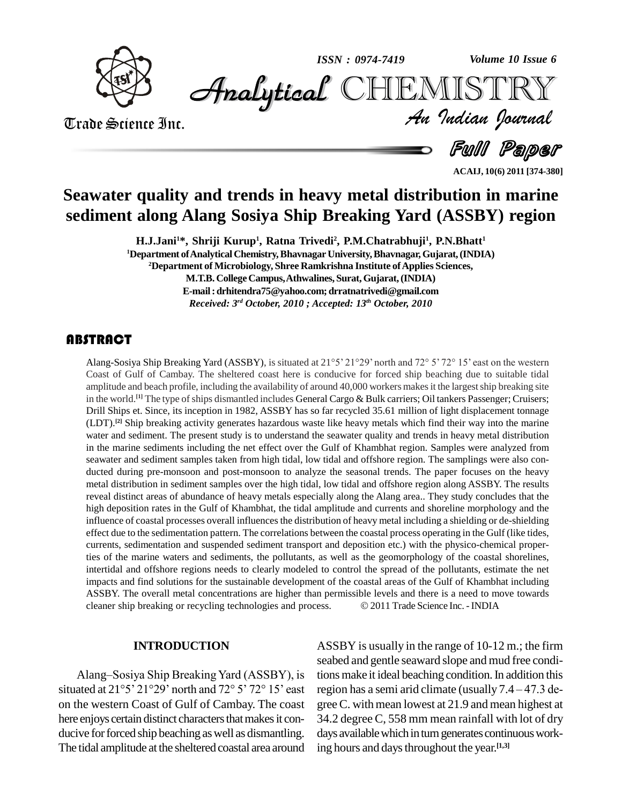

*Volume 10 Issue 6*



Trade Science Inc. Trade Science Inc.

*Volume 10 Issue 6*<br>IISTRY<br>*Indian Iournal* 

Full Paper

**ACAIJ, 10(6) 2011 [374-380]**

# **Seawater quality and trends in heavy metal distribution in marine sediment along Alang Sosiya Ship Breaking Yard (ASSBY) region**

**H.J.Jani1\*, Shriji Kurup 1 , Ratna Trivedi<sup>2</sup> , P.M.Chatrabhuji<sup>1</sup> , P.N.Bhatt 1 <sup>1</sup>Department ofAnalyticalChemistry,BhavnagarUniversity,Bhavnagar,Gujarat,(INDIA) <sup>2</sup>Department of Microbiology, Shree Ramkrishna Institute ofApplies Sciences,**

> **M.T.B. College Campus,Athwalines, Surat,Gujarat,(INDIA) E-mail:[drhitendra75@yahoo.com;](mailto:drhitendra75@yahoo.com;) [drratnatrivedi@gmail.com](mailto:drratnatrivedi@gmail.com)**

*Received: 3 rd October, 2010 ; Accepted: 13 th October, 2010*

Alang-Sosiya Ship Break<br>Coast of Gulf of Camba<br>amplitude and beach prof **ITRACT**<br>Alang-Sosiya Ship Breaking Yard (ASSBY), is situated at 21°5' 21°29' north and 72° 5' 72° 15' east on the western Coast of Gulf of Cambay. The sheltered coast here is conducive for forced ship beaching due to suitable tidal amplitude and beach profile, including the availability of around 40,000 workers makes it the largest ship breaking site in the world. **[1]** The type ofships dismantled includes General Cargo & Bulk carriers; Oil tankers Passenger; Cruisers; Drill Ships et. Since, its inception in 1982, ASSBY has so far recycled 35.61 million of light displacement tonnage (LDT). **[2]** Ship breaking activity generates hazardous waste like heavy metals which find their way into the marine water and sediment. The present study is to understand the seawater quality and trends in heavy metal distribution in the marine sediments including the net effect over the Gulf of Khambhat region. Samples were analyzed from seawater and sediment samples taken from hightidal, low tidal and offshore region. The samplings were also con ducted during pre-monsoon and post-monsoon to analyze the seasonal trends. The paper focuses on the heavy metal distribution in sediment samples over the high tidal, low tidal and offshore region along ASSBY. The results reveal distinct areas of abundance of heavy metals especially along the Alang area.. They study concludes that the high deposition rates in the Gulf of Khambhat, the tidal amplitude and currents and shoreline morphology and the influence of coastal processes overall influencesthe distribution of heavy metal including a shielding or de-shielding effect due to the sedimentation pattern. The correlations between the coastal process operating in the Gulf (like tides, currents, sedimentation and suspended sediment transport and deposition etc.) with the physico-chemical properties of the marine waters and sediments, the pollutants, as well as the geomorphology of the coastal shorelines, intertidal and offshore regions needs to clearly modeled to control the spread ofthe pollutants, estimate the net impacts and find solutions for the sustainable development of the coastal areas of the Gulf of Khambhat including<br>ASSBY. The overall metal concentrations are higher than permissible levels and there is a need to move towar ASSBY. The overall metal concentrations are higher than permissible levels and there is a need to move towards

#### **INTRODUCTION**

Alang–Sosiya Ship Breaking Yard (ASSBY), is on the western Coast of Gulf of Cambay. The coast here enjoys certain distinct characters that makes it conducive for forced ship beaching as well as dismantling. The tidal amplitude at the sheltered coastal area around

situated at  $21^{\circ}5'$   $21^{\circ}29'$  north and  $72^{\circ}5'$   $72^{\circ}15'$  east region has a semi arid climate (usually 7.4 – 47.3 de-ASSBY is usually in the range of 10-12 m.; the firm seabed and gentle seaward slope and mud free condi-<br>tions make it ideal beaching condition. In addition this<br>region has a semi arid climate (usually 7.4 – 47.3 detions make it ideal beaching condition. In addition this greeC. withmean lowest at 21.9 and mean highest at 34.2 degree C, 558 mm mean rainfall with lot of dry days available which in turn generates continuous working hours and daysthroughout the year. **[1,3]**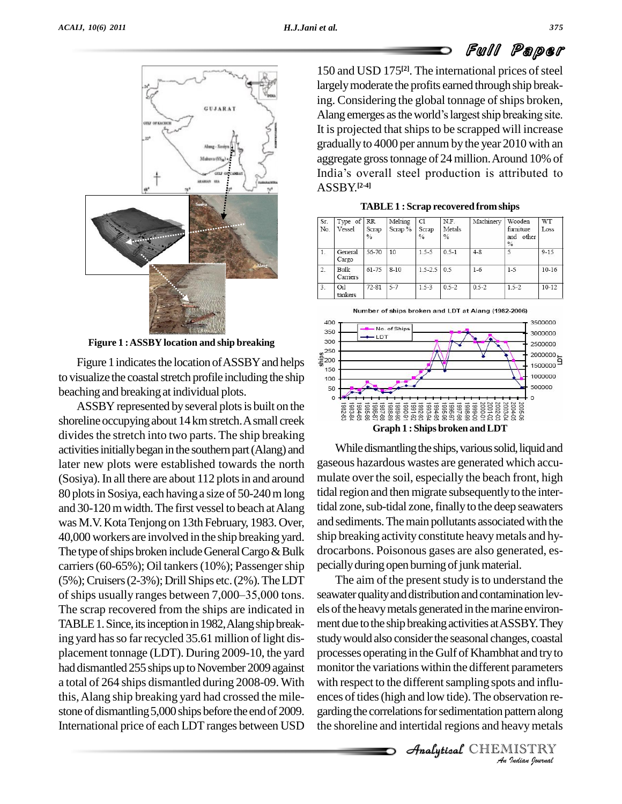

**Figure 1 :ASSBY location and ship breaking**

Figure 1 indicates the location of ASSBY and helps  $\frac{25}{5}$ to visualize the coastal stretch profile including the ship 100 beaching and breakingat individual plots.

ASSBY represented by several plots is built on the shoreline occupying about 14 km stretch. A small creek divides the stretch into two parts. The ship breaking activities initially began in the southern part (Alang) and later new plots were established towards the north (Sosiya). In all there are about 112 plots in and around 80 plotsin Sosiya, each havinga size of 50-240mlong and 30-120 m width. The first vessel to beach at Alang was M.V.KotaTenjong on 13th February, 1983. Over, 40,000 workers are involved in the ship breaking yard. The type of ships broken include General Cargo  $\&$  Bulk carriers (60-65%); Oil tankers (10%); Passenger ship pecially<br>(5%); Cruisers (2-3%); Drill Ships etc. (2%). The LDT The<br>of ships usually ranges between 7,000–35,000 tons. seawate  $(5\%)$ ; Cruisers $(2-3\%)$ ; Drill Ships etc. $(2\%)$ . The LDT The scrap recovered from the ships are indicated in TABLE 1. Since, its inception in 1982, Alang ship breaking yard has so far recycled 35.61 million of light displacement tonnage (LDT). During 2009-10, the yard had dismantled 255 ships up to November 2009 against a total of 264 ships dismantled during 2008-09. With this,Alang ship breaking yard had crossed the mile stone of dismantling 5,000 ships before the end of 2009. garding the correlations for sedimentation pattern along International price of each LDT ranges between USD

150 and USD 175<sup>[2]</sup>. The international prices of steel largelymoderate the profits earned through ship breaking. Considering the global tonnage of ships broken, Alang emerges as the world's largest ship breaking site. It is projected that ships to be scrapped will increase gradually to 4000 per annum by the year 2010 with an<br>aggregate gross tonnage of 24 million. Around 10% of<br>India's overall steel production is attributed to aggregate grosstonnage of 24million.Around 10% of ASSBY. **[2-4]**

| <b>TABLE 1: Scrap recovered from ships</b> |
|--------------------------------------------|
|--------------------------------------------|

|            |                      |                        |                   | . .                          |                                 |           |                                          |            |
|------------|----------------------|------------------------|-------------------|------------------------------|---------------------------------|-----------|------------------------------------------|------------|
| Sr.<br>No. | Type of RR<br>Vessel | Scrap<br>$\frac{0}{2}$ | Melting<br>Scrap% | C1<br>Scrap<br>$\frac{0}{2}$ | N.F.<br>Metals<br>$\frac{0}{6}$ | Machinery | Wooden<br>furniture<br>and other<br>$\%$ | WT<br>Loss |
| 1.         | General<br>Cargo     | 56-70                  | 10                | $1.5 - 5$                    | $0.5 - 1$                       | $4 - 8$   | 5                                        | $9 - 15$   |
| 2.         | Bulk<br>Carriers     | $61 - 75$              | $8 - 10$          | $1.5 - 2.5$                  | 0.5                             | $1 - 6$   | $1-5$                                    | $10 - 16$  |
| 3.         | Oil<br>tankers       | $72 - 81$              | $5 - 7$           | $1.5 - 3$                    | $0.5 - 2$                       | $0.5 - 2$ | $1.5 - 2$                                | $10-12$    |



While dismantling the ships, various solid, liquid and gaseous hazardous wastes are generated which accu mulate over the soil, especially the beach front, high tidal region and then migrate subsequently to the intertidal zone, sub-tidal zone, finally to the deep seawaters and sediments. The main pollutants associated with the ship breaking activity constitute heavymetals and hy drocarbons. Poisonous gases are also generated, es pecially during open burning of junk material.

with respect to the different sampling spots and influ-<br>
ences of tides (high and low tide). The observation re-<br>
garding the correlations for sedimentation pattern along<br>
the shoreline and intertidal regions and heavy met The aim of the present study is to understand the seawater quality and distribution and contamination levels of the heavy metals generated in the marine environment due to the ship breaking activities at ASSBY. They study would also consider the seasonal changes, coastal processes operating in the Gulf of Khambhat and tryto monitor the variations within the different parameters ences of tides (high and low tide). The observation rethe shoreline and intertidal regions and heavymetals

Analytical CHEMISTRY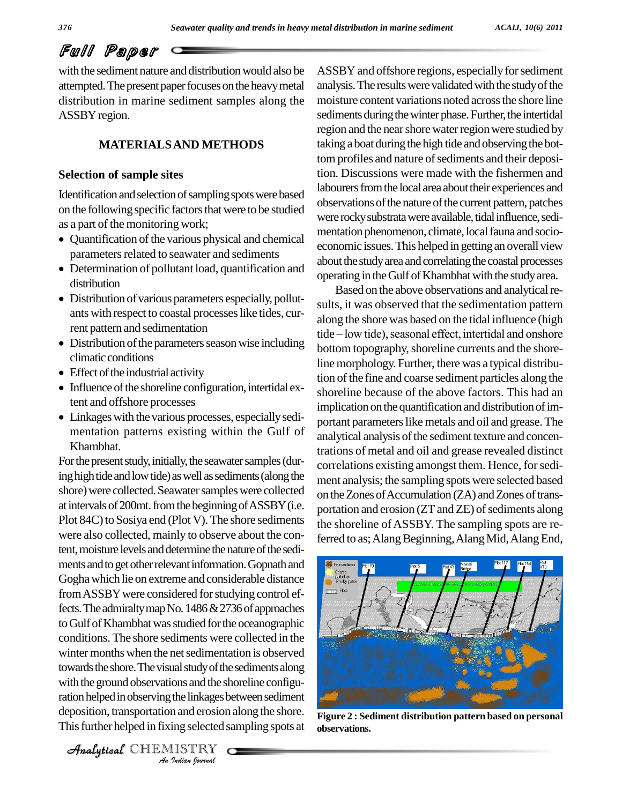with the sediment nature and distribution would also be attempted. The present paper focuses on the heavy metal distribution in marine sediment samples along the ASSBY region.

# **MATERIALSAND METHODS**

### **Selection of sample sites**

Identification and selection of sampling spots were based on the following specific factors that were to be studied<br>as a part of the monitoring work;

- Quantification of the various physical and chemical  $\frac{1}{\sqrt{2}}$
- $\bullet$  Determination of pollutant load, quantification and  $\overline{\phantom{a}}^{a\text{outu}}$ distribution
- Distribution of various parameters especially, pollut ants with respect to coastal processes like tides, current pattern and sedimentation
- Distribution of the parameters season wise including<br>bottom<br>line me
- $\bullet$  Effect of the industrial activity
- Influence of the shoreline configuration, intertidal extent and offshore processes
- Linkages with the various processes, especially sedimentation patterns existing within the Gulf of Khambhat.

Analytical and shortly the visual state of the seamleng along with the ground observations and the shoreline configu-*Indianals* or and<br> *Indianal*<br> *In and erosion*<br> *IISTRY*<br> *IISTRY* For the present study, initially, the seawater samples (during high tide and low tide) as well as sediments (along the shore) were collected. Seawater samples were collected at intervals of 200mt. from the beginning of ASSBY (i.e. Plot 84C) to Sosiya end (Plot V). The shore sediments were also collected, mainly to observe about the content, moisture levels and determine the nature of the sediments and to get other relevant information. Gopnath and Goghawhich lie on extreme and considerable distance from ASSBY were considered for studying control effects. The admiralty map No.  $1486 \& 2736$  of approaches to Gulf of Khambhat was studied for the oceanographic conditions. The shore sediments were collected in the winter months when the net sedimentation is observed towards the shore. The visual study of the sediments along ration helped in observing the linkages between sediment deposition, transportation and erosion along the shore. This further helped in fixing selected sampling spots at

ASSBY and offshore regions, especially for sediment analysis. The results were validated with the study of the moisture content variations noted across the shore line sediments during the winter phase. Further, the intertidal region and the near shore water region were studied by taking a boat during the high tide and observing the bottom profiles and nature of sediments and their deposition. Discussions were made with the fishermen and labourers from the local area about their experiences and observations of the nature of the current pattern, patches were rocky substrata were available, tidal influence, sedimentation phenomenon, climate, local fauna and socioeconomic issues.This helped in gettingan overall view about the study area and correlating the coastal processes operating in the Gulf of Khambhat with the study area.

Based on the above observations and analytical results, it was observed that the sedimentation pattern along the shore was based on the tidal influence (high sults, it was observed that the sedimentation pattern<br>along the shore was based on the tidal influence (high<br>tide – low tide), seasonal effect, intertidal and onshore bottom topography, shoreline currents and the shoreline morphology. Further, there was a typical distribution of the fine and coarse sediment particles along the shoreline because of the above factors. This had an implication on the quantification and distribution of important parameters like metals and oil and grease. The analytical analysis of the sediment texture and concentrations of metal and oil and grease revealed distinct correlations existing amongst them. Hence, for sediment analysis; the sampling spots were selected based on the Zones of Accumulation (ZA) and Zones of transportation and erosion (ZT and ZE) of sediments along the shoreline of ASSBY. The sampling spots are referred to as; Alang Beginning, Alang Mid, Alang End,



**Figure 2 : Sediment distribution pattern based on personal observations.**

CHEMISTRY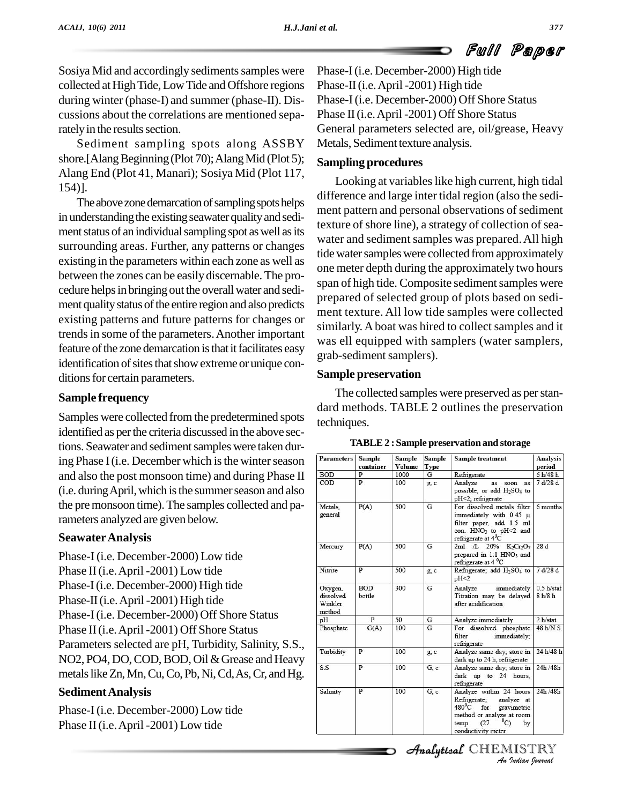Sosiya Mid and accordingly sediments samples were collected at High Tide, Low Tide and Offshore regions during winter (phase-I) and summer (phase-II). Dis cussions about the correlations are mentioned separately in the results section.

Sediment sampling spots along ASSBY shore.[Alang Beginning (Plot 70); Alang Mid (Plot 5); Alang End (Plot 41, Manari); Sosiya Mid (Plot 117, 154)].

The above zone demarcation of sampling spots helps in understanding the existing seawater quality and sediment status of an individual sampling spot as well as its surrounding areas. Further, any patterns or changes existing in the parameters within each zone as well as between the zones can be easily discernable. The procedure helps in bringing out the overall water and sediment quality status of the entire region and also predicts existing patterns and future patterns for changes or trends in some of the parameters. Another important feature of the zone demarcation is that it facilitates easy identification of sites that show extreme or unique conditions for certain parameters.

# **Sample frequency**

Samples were collected from the predetermined spots identified as per the criteria discussed in the above sections. Seawater and sediment samples were taken during Phase I (i.e. December which is the winter season and also the post monsoon time) and during Phase II (i.e. during April, which is the summer season and also the premonsoon time). The samples collected and parameters analyzed are given below.

### **SeawaterAnalysis**

Phase-I(i.e. December-2000) Low tide Phase II (i.e. April -2001) Low tide Phase-I(i.e. December-2000) High tide Phase-II (i.e. April -2001) High tide Phase-I(i.e. December-2000) Off Shore Status Phase II (i.e. April -2001) Off Shore Status Parameters selected are pH, Turbidity, Salinity, S.S., NO2, PO4, DO, COD, BOD, Oil & Grease and Heavy metals like Zn, Mn, Cu, Co, Pb, Ni, Cd, As, Cr, and Hg.

# **SedimentAnalysis**

Phase-I(i.e. December-2000) Low tide Phase II (i.e. April -2001) Low tide

Phase-I(i.e. December-2000) High tide Phase-II (*i.e. April* -2001) High tide Phase-I(i.e. December-2000) Off Shore Status Phase II (i.e. April -2001) Off Shore Status General parameters selected are, oil/grease, Heavy Metals, Sediment texture analysis.

# **Sampling procedures**

Looking at variables like high current, high tidal difference and large inter tidal region (also the sedi ment pattern and personal observations of sediment texture of shore line), a strategy of collection of seawater and sediment samples was prepared. All high tide water samples were collected from approximately one meter depth during the approximately two hours span of high tide. Composite sediment samples were prepared of selected group of plots based on sedi ment texture. All low tide samples were collected similarly. A boat was hired to collect samples and it was ell equipped with samplers (water samplers, grab-sediment samplers).

# **Sample preservation**

The collected samples were preserved as per standard methods. TABLE 2 outlines the preservation techniques.

| <b>Parameters</b>                         | Sample               | Sample        | Sample | Sample treatment                                                                                                                                                            | <b>Analysis</b>       |
|-------------------------------------------|----------------------|---------------|--------|-----------------------------------------------------------------------------------------------------------------------------------------------------------------------------|-----------------------|
|                                           | container            | <b>Volume</b> | Type   |                                                                                                                                                                             | period                |
| <b>BOD</b>                                | p                    | 1000          | G      | Refrigerate                                                                                                                                                                 | 6 h/48 h              |
| COD                                       | p                    | 100           | g, c   | Analyze<br>soon<br>as<br>as<br>possible, or add H <sub>2</sub> SO <sub>4</sub> to<br>pH<2; refrigerate                                                                      | 7 d/28 d              |
| Metals.<br>general                        | P(A)                 | 500           | G      | For dissolved metals filter<br>immediately with 0.45 µ<br>filter paper, add 1.5 ml<br>con. HNO <sub>3</sub> to pH<2 and<br>refrigerate at $4^0C$                            | 6 months              |
| Mercury                                   | P(A)                 | 500           | G      | 20%<br>$K_2Cr_2O_7$<br>$2ml \tL$<br>prepared in 1:1 HNO <sub>3</sub> and<br>refrigerate at $4^{\circ}$ C                                                                    | 28 d                  |
| Nitrite                                   | P                    | 500           | g, c   | Refrigerate; add H <sub>2</sub> SO <sub>4</sub> to<br>pH <sub>2</sub>                                                                                                       | 7 d/28 d              |
| Oxygen,<br>dissolved<br>Winkler<br>method | <b>BOD</b><br>bottle | 300           | G      | immediately<br>Analyze<br>Titration may be delayed<br>after acidification                                                                                                   | 0.5 h/stat<br>8 h/8 h |
| рH                                        | $\overline{P}$       | 50            | G      | Analyze immediately                                                                                                                                                         | 2 h/stat              |
| Phosphate                                 | G(A)                 | 100           | G      | dissolved phosphate<br>For<br>filter<br>immediately;<br>refrigerate                                                                                                         | 48 h/N.S.             |
| Turbidity                                 | P                    | 100           | g, c   | Analyze same day; store in<br>dark up to 24 h, refrigerate                                                                                                                  | 24 h/48 h             |
| S.S                                       | p                    | 100           | G, c   | Analyze same day; store in<br>dark up to 24 hours,<br>refrigerate                                                                                                           | 24h/48h               |
| Salinity                                  | p                    | 100           | G.c    | Analyze within 24 hours<br>Refrigerate;<br>analyze at<br>$480^0C$<br>for<br>gravimetric<br>method or analyze at room<br>$^0$ C)<br>(27)<br>temp<br>by<br>conductivity meter | 24h /48h              |

**TABLE2 :Sample preservation and storage**

CHEMISTRY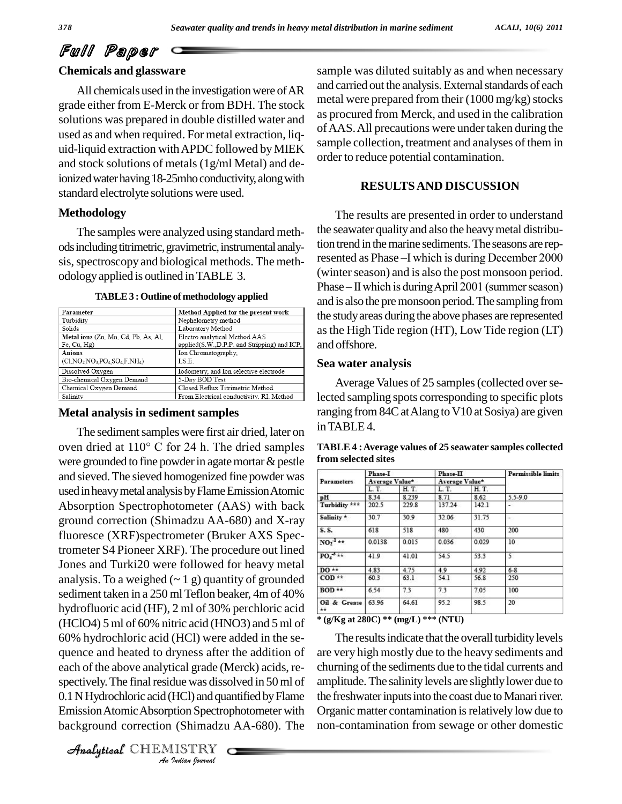# **Chemicals and glassware**

All chemicals used in the investigation were of AR grade either from E-Merck or from BDH. The stock solutions was prepared in double distilled water and used as and when required. For metal extraction, liq uid-liquid extraction withAPDC followed byMIEK and stock solutions of metals (1g/ml Metal) and deionized water having 18-25mho conductivity, along with standard electrolyte solutions were used.

# **Methodology**

The samples were analyzed using standard meth ods including titrimetric, gravimetric, instrumental analysis, spectroscopy and biological methods. The methodology applied is outlined in TABLE 3.

**TABLE3 :Outline ofmethodology applied**

| Parameter                                                   | Method Applied for the present work                                          |
|-------------------------------------------------------------|------------------------------------------------------------------------------|
| Turbidity                                                   | Nephelometry method                                                          |
| Solids                                                      | Laboratory Method                                                            |
| Metal ions (Zn, Mn, Cd, Pb, As, Al,<br>$Fe$ , $Cu$ , $Hg$ ) | Electro analytical Method AAS<br>applied(S.W.,D.P.P. and Stripping) and ICP, |
| Anions<br>$(C1, NO2 NO3 PO4 SO4F, NH4)$                     | Ion Chromatography,<br>LS.E.                                                 |
| Dissolved Oxygen                                            | Iodometry, and Ion selective electrode                                       |
| Bio-chemical Oxygen Demand                                  | 5-Day BOD Test                                                               |
| Chemical Oxygen Demand                                      | Closed Reflux Titrimetric Method                                             |
| Salinity                                                    | From Electrical conductivity, RI, Method                                     |

# **Metal analysis in sediment samples**

**Analytical Street Constraint Street (Analytical Street Properties)**, to the set of the set of the set of the set of the set of the set of the set of the set of the set of the set of the set of the set of the set of the se *Indian*<br> *Indian*<br> *Indian*<br> *ISTRY*<br> *ISTRY*<br> *Indian Sournal* The sediment samples were first air dried, later on oven dried at <sup>110</sup>° <sup>C</sup> for <sup>24</sup> h. The dried samples were grounded to fine powder in agate mortar  $\&$  pestle and sieved.The sieved homogenized fine powder was used in heavy metal analysis by Flame Emission Atomic Absorption Spectrophotometer (AAS) with back ground correction (Shimadzu AA-680) and X-ray fluoresce (XRF)spectrometer (Bruker AXS Spectrometer S4 Pioneer XRF). The procedure out lined Jones and Turki20 were followed for heavy metal analysis. To a weighed  $(-1)$  g) quantity of grounded sediment taken in a 250 ml Teflon beaker, 4m of 40% hydrofluoric acid (HF), 2 ml of 30% perchloric acid (HClO4) 5 ml of 60% nitric acid (HNO3) and 5 ml of 60% hydrochloric acid (HCl) were added in the se quence and heated to dryness after the addition of each of the above analytical grade (Merck) acids, re- 0.1 N Hydrochloric acid (HCl) and quantified by Flame EmissionAtomicAbsorption Spectrophotometer with background correction (Shimadzu AA-680). The

CHEMISTRY

sample was diluted suitably as and when necessary and carried out the analysis. External standards of each metal were prepared from their  $(1000 \text{ mg/kg})$  stocks as procured from Merck, and used in the calibration ofAAS.All precautions were under taken during the sample collection, treatment and analyses of them in order to reduce potential contamination.

# **RESULTSAND DISCUSSION**

The results are presented in order to understand the seawater quality and also the heavy metal distribu-<br>tion trend in the marine sediments. The seasons are rep-<br>resented as Phase –I which is during December 2000 tion trend in the marine sediments. The seasons are rep-(winter season) and is also the post monsoon period. resented as Phase –I which is during December 2000<br>(winter season) and is also the post monsoon period.<br>Phase – II which is during April 2001 (summer season) and is also the premonsoon period.The sampling from the studyareas during the above phases are represented asthe High Tide region (HT), Low Tide region (LT) and offshore.

# **Sea water analysis**

Average Values of 25 samples (collected over selected sampling spots corresponding to specific plots ranging from 84C at Alang to V10 at Sosiya) are given inTABLE4.

|                          | Phase-I<br>Average Value* |       | Phase-II<br>Average Value* |       | <b>Permissible limits</b> |  |
|--------------------------|---------------------------|-------|----------------------------|-------|---------------------------|--|
| Parameters               |                           |       |                            |       |                           |  |
|                          | L.T.                      | H.T.  | L.T.                       | H.T.  |                           |  |
| pH                       | 8.34                      | 8.239 | 8.71                       | 8.62  | 5.5-9.0                   |  |
| Turbidity ***            | 202.5                     | 229.8 | 137.24                     | 142.1 |                           |  |
| Salinity *               | 30.7                      | 30.9  | 32.06                      | 31.75 | $\overline{\phantom{a}}$  |  |
| S.S.                     | 618                       | 518   | 480                        | 430   | 200                       |  |
| $NO2-1**$                | 0.0138                    | 0.015 | 0.036                      | 0.029 | 10                        |  |
| $PO4-3**$                | 41.9                      | 41.01 | 54.5                       | 53.3  | 5                         |  |
| $DO**$                   | 4.83                      | 4.75  | 4.9                        | 4.92  | $6 - 8$                   |  |
| $\mathbf{COD}$ **        | 60.3                      | 63.1  | 54.1                       | 56.8  | 250                       |  |
| $BOD**$                  | 6.54                      | 7.3   | 7.3                        | 7.05  | 100                       |  |
| Oil & Grease<br>$\pm\pm$ | 63.96                     | 64.61 | 95.2                       | 98.5  | 20                        |  |

**TABLE4 :Average values of 25 seawater samples collected from selected sites**

**\* (g/Kg at 280C) \*\* (mg/L) \*\*\* (NTU)**

The results indicate that the overall turbidity levels are very high mostly due to the heavy sediments and churning of the sediments due to the tidal currents and amplitude.The salinitylevels are slightlylower due to the freshwater inputs into the coast due to Manari river. Organic matter contamination is relatively low due to non-contamination from sewage or other domestic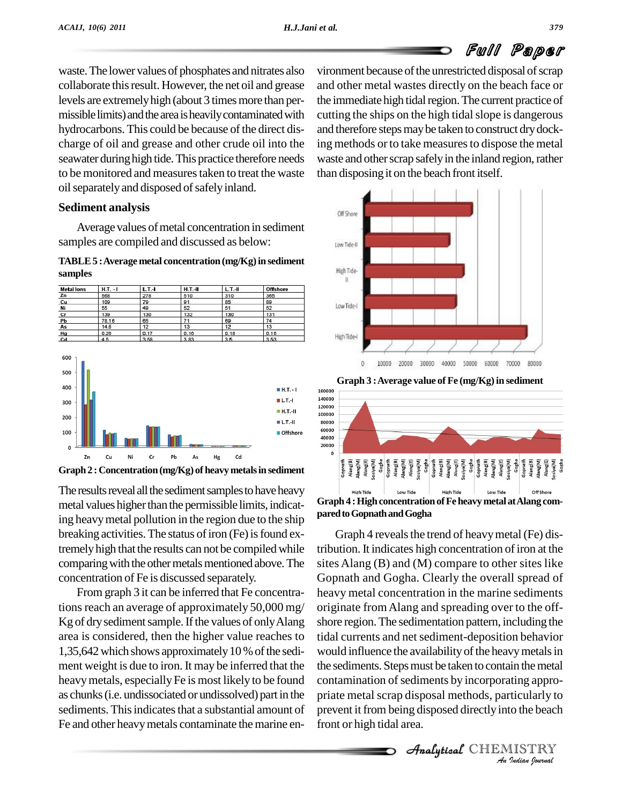waste.The lower values of phosphates and nitrates also collaborate this result. However, the net oil and grease levels are extremely high (about 3 times more than permissible limits) and the area is heavily contaminated with hydrocarbons. This could be because of the direct discharge of oil and grease and other crude oil into the seawater during high tide. This practice therefore needs to be monitored and measures taken to treat the waste oil separately and disposed of safely inland.

# **Sediment analysis**

Average values of metal concentration in sediment samples are compiled and discussed as below:

### **TABLE5 :Average metal concentration(mg/Kg)in sediment samples**

| <b>Metal lons</b> | $H.T. - I$ | $L.T.-I$ | $H.T.-H$ | $L.T.-II$ | <b>Offshore</b> |  |
|-------------------|------------|----------|----------|-----------|-----------------|--|
| Zn                | 568        | 278      | 510      | 310       | 365             |  |
| Cu                | 109        | 79       | 91       | 85        | 89              |  |
| Ni                | 55         | 49       | 52       | 51        | 52              |  |
| cr                | 139        | 130      | 132      | 130       | 131             |  |
| Pb                | 78.16      | 65       | 71       | 69        | 74              |  |
| As                | 14.8       | 12       | 13       | 12        | 13              |  |
| Hg                | 0.26       | 0.17     | 0.16     | 0.18      | 0.16            |  |
|                   | A.R.       | 3.50     | 202      | <b>25</b> | 2.52            |  |



**Graph 2 :Concentration(mg/Kg) of heavymetalsin sediment**

The results reveal all the sediment samples to have heavy metal values higher than the permissible limits, indicating heavymetal pollution in the region due to the ship breaking activities. The status of iron (Fe) is found extremely high that the results can not be compiled while comparing with the other metals mentioned above. The concentration of Fe is discussed separately.

From graph 3 it can be inferred that Fe concentrations reach an average of approximately 50,000 mg/ Kg of dry sediment sample. If the values of only Alang area is considered, then the higher value reaches to 1,35,642which shows approximately10 %ofthe sedi ment weight is due to iron. It may be inferred that the heavy metals, especially Fe is most likely to be found as chunks(i.e. undissociated or undissolved) part in the sediments. This indicates that a substantial amount of Fe and other heavymetals contaminate the marine environment because of the unrestricted disposal of scrap and other metal wastes directly on the beach face or the immediate high tidal region. The current practice of cutting the ships on the high tidal slope is dangerous and therefore steps may be taken to construct dry docking methods or to take measures to dispose the metal waste and other scrap safely in the inland region, rather than disposing it on the beach front itself.







**Contamination of sediments by incorporating appropriate metal scrap disposal methods, particularly to prevent it from being disposed directly into the beach front or high tidal area.<br>
Analytical CHEMISTRY<br>
Analytical CHEM** Graph 4 reveals the trend of heavy metal (Fe) distribution. It indicates high concentration of iron at the sites Alang (B) and (M) compare to other sites like Gopnath and Gogha. Clearly the overall spread of heavy metal concentration in the marine sediments originate fromAlang and spreading over to the off shore region.The sedimentation pattern, including the tidal currents and net sediment-deposition behavior would influence the availability of the heavy metals in the sediments. Steps must be taken to contain the metal priate metal scrap disposal methods, particularly to prevent it from being disposed directly into the beach front or high tidal area.

**Analytical** CHEMISTRY